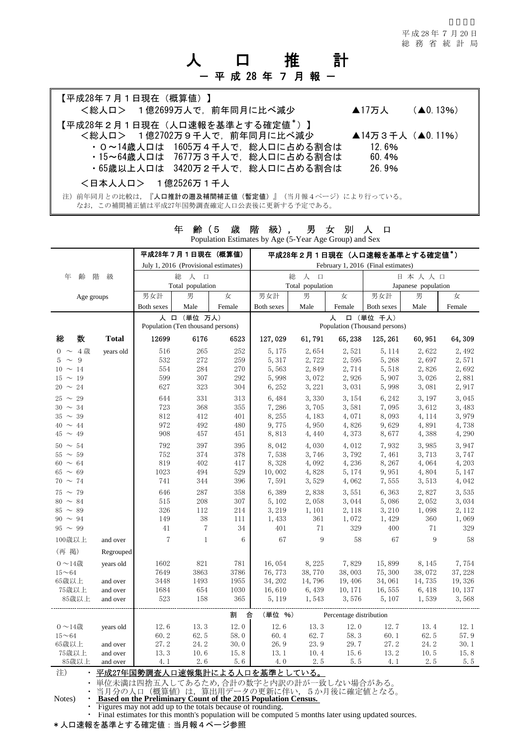平 成 28 年 7 月 20 日 総務省統計局

# 人 口 推 計 - 平 成 28 年 7 月 報 -

| 【平成28年7月1日現在(概算値)】<br><総人ロ> 1億2699万人で、前年同月に比べ減少                                             | ▲17万人 $($ △0.13%) |  |
|---------------------------------------------------------------------------------------------|-------------------|--|
| 【平成28年2月1日現在(人口速報を基準とする確定値*)】                                                               |                   |  |
| <総人ロ> 1億2702万9千人で、前年同月に比べ減少                                                                 | ▲14万3千人 (▲0.11%)  |  |
| ・0~14歳人口は 1605万4千人で、総人口に占める割合は                                                              | 12.6%             |  |
| ・15~64歳人口は 7677万3千人で、総人口に占める割合は                                                             | 60.4%             |  |
| ・65歳以上人口は 3420万2千人で、総人口に占める割合は                                                              | 26.9%             |  |
| <日本人人口> 1億2526万1千人                                                                          |                   |  |
| 注)前年同月との比較は、『人口推計の遡及補間補正値(暫定値)』(当月報4ページ)により行っている。<br>なお、この補間補正値は平成27年国勢調査確定人口公表後に更新する予定である。 |                   |  |

|               | 平成28年7月1日現在(概算値)<br>July 1, 2016 (Provisional estimates) |                                                             |                                                  |                 |                                                                                                      | 平成28年2月1日現在(人口速報を基準とする確定値*)<br>February 1, 2016 (Final estimates) |         |            |                     |         |  |  |
|---------------|----------------------------------------------------------|-------------------------------------------------------------|--------------------------------------------------|-----------------|------------------------------------------------------------------------------------------------------|-------------------------------------------------------------------|---------|------------|---------------------|---------|--|--|
|               | 総                                                        |                                                             |                                                  |                 |                                                                                                      |                                                                   |         |            |                     |         |  |  |
| 齢<br>年        | 階<br>級                                                   |                                                             | 人 口<br>総                                         |                 |                                                                                                      | 人 口                                                               |         | 日本人人口      |                     |         |  |  |
|               |                                                          |                                                             | Total population                                 |                 |                                                                                                      | Total population                                                  |         |            | Japanese population |         |  |  |
|               | Age groups                                               | 男女計                                                         | 男                                                | 女               | 男女計                                                                                                  | 男                                                                 | 女       | 男女計        | 男                   | 女       |  |  |
|               |                                                          | Both sexes                                                  | Male                                             | Female          | Both sexes                                                                                           | Male                                                              | Female  | Both sexes | Male                | Female  |  |  |
|               |                                                          |                                                             | 人 口 (単位 万人)<br>Population (Ten thousand persons) |                 | 人<br>口 (単位 千人)<br>Population (Thousand persons)                                                      |                                                                   |         |            |                     |         |  |  |
| 総<br>数        | <b>Total</b>                                             | 12699                                                       | 6176                                             | 6523            | 127,029                                                                                              | 61,791                                                            | 65, 238 | 125, 261   | 60, 951             | 64,309  |  |  |
| $0 \sim 4$ 歳  | years old                                                | 516                                                         | 265                                              | 252             | 5,175                                                                                                | 2.654                                                             | 2,521   | 5, 114     | 2,622               | 2,492   |  |  |
| $5 \sim 9$    |                                                          | 532                                                         | 272                                              | 259             | 5,317                                                                                                | 2,722                                                             | 2,595   | 5,268      | 2,697               | 2,571   |  |  |
| $10 \sim 14$  |                                                          | 554                                                         | 284                                              | 270             | 5,563                                                                                                | 2,849                                                             | 2,714   | 5,518      | 2,826               | 2,692   |  |  |
| $15 \sim 19$  |                                                          | 599                                                         | $307\,$                                          | 292             | 5,998                                                                                                | 3,072                                                             | 2,926   | 5,907      | 3,026               | 2,881   |  |  |
| $20 \sim 24$  |                                                          | 627                                                         | 323                                              | 304             | 6,252                                                                                                | 3, 221                                                            | 3,031   | 5,998      | 3,081               | 2,917   |  |  |
| $25 \sim 29$  |                                                          | 644                                                         | 331                                              | 313             | 6,484                                                                                                | 3,330                                                             | 3, 154  | 6,242      | 3,197               | 3,045   |  |  |
| $30 \sim 34$  |                                                          | 723                                                         | 368                                              | 355             | 7,286                                                                                                | 3,705                                                             | 3,581   | 7,095      | 3,612               | 3,483   |  |  |
| $35 \sim 39$  |                                                          | 812                                                         | 412                                              | 401             | 8,255                                                                                                | 4,183                                                             | 4,071   | 8,093      | 4, 114              | 3,979   |  |  |
| $40 \sim 44$  |                                                          | 972                                                         | 492                                              | 480             | 9,775                                                                                                | 4,950                                                             | 4,826   | 9,629      | 4,891               | 4,738   |  |  |
| $45 \sim 49$  |                                                          | 908                                                         | 457                                              | 451             | 8,813                                                                                                | 4,440                                                             | 4,373   | 8,677      | 4,388               | 4,290   |  |  |
| $50 \sim 54$  |                                                          | 792                                                         | 397                                              | 395             | 8,042                                                                                                | 4,030                                                             | 4,012   | 7,932      | 3,985               | 3,947   |  |  |
| $55 \sim 59$  |                                                          | 752                                                         | 374                                              | 378             | 7,538                                                                                                | 3,746                                                             | 3,792   | 7,461      | 3,713               | 3,747   |  |  |
| $60 \sim 64$  |                                                          | 819                                                         | 402                                              | 417             | 8,328                                                                                                | 4,092                                                             | 4,236   | 8,267      | 4,064               | 4,203   |  |  |
| $65 \sim 69$  |                                                          | 1023                                                        | 494                                              | 529             | 10,002                                                                                               | 4,828                                                             | 5, 174  | 9,951      | 4,804               | 5, 147  |  |  |
| $70 \sim 74$  |                                                          | 741                                                         | 344                                              | 396             | 7,591                                                                                                | 3,529                                                             | 4,062   | 7,555      | 3,513               | 4,042   |  |  |
| $75 \sim 79$  |                                                          | 646                                                         | 287                                              | 358             | 6,389                                                                                                | 2,838                                                             | 3,551   | 6,363      | 2,827               | 3,535   |  |  |
| $80 \sim 84$  |                                                          | 515                                                         | 208                                              | 307             | 5,102                                                                                                | 2,058                                                             | 3,044   | 5,086      | 2,052               | 3,034   |  |  |
| $85 \sim 89$  |                                                          | 326                                                         | 112                                              | 214             | 3, 219                                                                                               | 1,101                                                             | 2, 118  | 3,210      | 1,098               | 2, 112  |  |  |
| $90 \sim 94$  |                                                          | 149                                                         | 38                                               | 111             | 1,433                                                                                                | 361                                                               | 1,072   | 1,429      | 360                 | 1,069   |  |  |
| $95 \sim 99$  |                                                          | 41                                                          | 7                                                | 34              | 401                                                                                                  | 71                                                                | 329     | 400        | 71                  | 329     |  |  |
| 100歳以上        | and over                                                 | $\sqrt{7}$                                                  | $\mathbf{1}$                                     | $6\phantom{1}6$ | 67                                                                                                   | 9                                                                 | 58      | 67         | 9                   | 58      |  |  |
| (再 掲)         | Regrouped                                                |                                                             |                                                  |                 |                                                                                                      |                                                                   |         |            |                     |         |  |  |
| $0 \sim 14$ 歳 | years old                                                | 1602                                                        | 821                                              | 781             | 16,054                                                                                               | 8,225                                                             | 7,829   | 15,899     | 8,145               | 7,754   |  |  |
| $15 - 64$     |                                                          | 7649                                                        | 3863                                             | 3786            | 76,773                                                                                               | 38,770                                                            | 38,003  | 75,300     | 38,072              | 37, 228 |  |  |
| 65歳以上         | and over                                                 | 3448                                                        | 1493                                             | 1955            | 34, 202                                                                                              | 14,796                                                            | 19,406  | 34,061     | 14,735              | 19, 326 |  |  |
| 75歳以上         | and over                                                 | 1684                                                        | 654                                              | 1030            | 16,610                                                                                               | 6,439                                                             | 10, 171 | 16,555     | 6, 418              | 10, 137 |  |  |
| 85歳以上         | and over                                                 | 523                                                         | 158                                              | 365             | 5, 119                                                                                               | 1,543                                                             | 3,576   | 5, 107     | 1,539               | 3,568   |  |  |
|               |                                                          |                                                             |                                                  | 割<br>合          | (単位 %)                                                                                               | Percentage distribution                                           |         |            |                     |         |  |  |
| $0 \sim 14$ 歳 | years old                                                | 12.6                                                        | 13.3                                             | 12.0            | 12.6                                                                                                 | 13.3                                                              | 12.0    | 12.7       | 13.4                | 12.1    |  |  |
| $15 - 64$     |                                                          | 60.2                                                        | 62.5                                             | 58.0            | 60.4                                                                                                 | 62.7                                                              | 58.3    | 60.1       | 62.5                | 57.9    |  |  |
| 65歳以上         | and over                                                 | 27.2                                                        | 24. 2                                            | 30.0            | 26.9                                                                                                 | 23.9                                                              | 29.7    | 27.2       | 24.2                | 30.1    |  |  |
| 75歳以上         | and over                                                 | 13.3                                                        | 10.6                                             | 15.8            | 13.1                                                                                                 | 10.4                                                              | 15.6    | 13.2       | 10.5                | 15.8    |  |  |
| 85歳以上         | and over                                                 | 4.1                                                         | 2.6                                              | 5.6             | 4.0                                                                                                  | 2.5                                                               | $5.5\,$ | 4.1        | 2.5                 | 5.5     |  |  |
| 注)            |                                                          |                                                             |                                                  |                 | <u>・平成27年国勢調査人口速報集計による人口を基準としている。</u>                                                                |                                                                   |         |            |                     |         |  |  |
|               |                                                          |                                                             |                                                  |                 | • 単位未満は四捨五入してあるため,合計の数字と内訳の計が一致しない場合がある。                                                             |                                                                   |         |            |                     |         |  |  |
| $\bullet$     |                                                          |                                                             |                                                  |                 | 当月分の人口(概算値)は、算出用データの更新に伴い、5か月後に確定値となる。                                                               |                                                                   |         |            |                     |         |  |  |
| Notes)        |                                                          |                                                             |                                                  |                 | <b>Based on the Preliminary Count of the 2015 Population Census.</b>                                 |                                                                   |         |            |                     |         |  |  |
|               |                                                          | • Figures may not add up to the totals because of rounding. |                                                  |                 |                                                                                                      |                                                                   |         |            |                     |         |  |  |
|               |                                                          |                                                             |                                                  |                 | • Final estimates for this month's population will be computed 5 months later using updated sources. |                                                                   |         |            |                     |         |  |  |

年 齢(5 歳 階 級), 男 女 別 人 口 Population Estimates by Age (5-Year Age Group) and Sex

\*人口速報を基準とする確定値: 当月報4ページ参照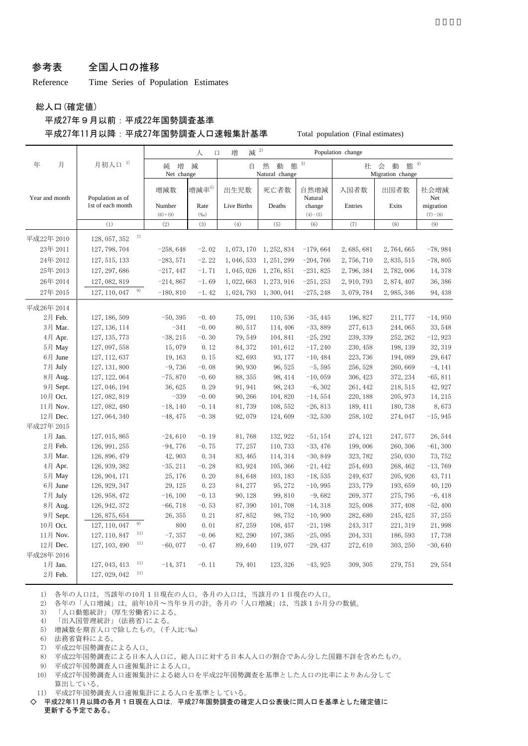#### 参考表 全国人口の推移

Reference Time Series of Population Estimates

総人口(確定値)

#### 平成27年9月以前:平成22年国勢調査基準 平成27年11月以降:平成27年国勢調査人口速報集計基準 Total population (Final estimates)

|                |                      |                      | 人<br>$\Box$  | 増<br>減                                   | 2)          |                     | Population change                          |             |                        |
|----------------|----------------------|----------------------|--------------|------------------------------------------|-------------|---------------------|--------------------------------------------|-------------|------------------------|
| 年<br>月         | 月初人口 <sup>1)</sup>   | 増<br>純<br>Net change | 減            | 3)<br>然<br>熊<br>自<br>動<br>Natural change |             |                     | 4)<br>能<br>社<br>会<br>動<br>Migration change |             |                        |
| Year and month | Population as of     | 増減数                  | 増減率5)        | 出生児数                                     | 死亡者数        | 自然増減<br>Natural     | 入国者数                                       | 出国者数        | 社会増減<br>Net            |
|                | 1st of each month    | Number<br>$(6)+(9)$  | Rate<br>(%o) | Live Births                              | Deaths      | change<br>$(4)-(5)$ | Entries                                    | Exits       | migration<br>$(7)-(8)$ |
|                | (1)                  | (2)                  | (3)          | (4)                                      | (5)         | (6)                 | (7)                                        | (8)         | (9)                    |
| 平成22年 2010     | 7)<br>128, 057, 352  |                      |              |                                          |             |                     |                                            |             |                        |
| 23年 2011       | 127, 798, 704        | $-258,648$           | $-2.02$      | 1, 073, 170                              | 1, 252, 834 | $-179,664$          | 2,685,681                                  | 2,764,665   | $-78,984$              |
| 24年 2012       | 127, 515, 133        | $-283,571$           | $-2.22$      | 1,046,533                                | 1, 251, 299 | $-204,766$          | 2,756,710                                  | 2, 835, 515 | $-78,805$              |
| 25年 2013       | 127, 297, 686        | $-217,447$           | $-1.71$      | 1, 045, 026                              | 1, 276, 851 | $-231,825$          | 2,796,384                                  | 2,782,006   | 14, 378                |
| 26年 2014       | 127, 082, 819        | $-214,867$           | $-1.69$      | 1,022,663                                | 1, 273, 916 | $-251, 253$         | 2,910,793                                  | 2,874,407   | 36, 386                |
| 27年 2015       | 9)<br>127, 110, 047  | $-180, 810$          | $-1.42$      | 1, 024, 793                              | 1, 300, 041 | $-275, 248$         | 3,079,784                                  | 2, 985, 346 | 94, 438                |
| 平成26年 2014     |                      |                      |              |                                          |             |                     |                                            |             |                        |
| 2月 Feb.        | 127, 186, 509        | $-50, 395$           | $-0.40$      | 75,091                                   | 110,536     | $-35, 445$          | 196, 827                                   | 211,777     | $-14,950$              |
| 3月 Mar.        | 127, 136, 114        | $-341$               | $-0.00$      | 80, 517                                  | 114, 406    | $-33,889$           | 277, 613                                   | 244,065     | 33, 548                |
| 4月 Apr.        | 127, 135, 773        | $-38, 215$           | $-0.30$      | 79,549                                   | 104, 841    | $-25, 292$          | 239, 339                                   | 252, 262    | $-12,923$              |
| 5月 May         | 127, 097, 558        | 15,079               | 0.12         | 84, 372                                  | 101,612     | $-17, 240$          | 230, 458                                   | 198, 139    | 32, 319                |
| 6月 June        | 127, 112, 637        | 19, 163              | 0.15         | 82,693                                   | 93, 177     | $-10,484$           | 223, 736                                   | 194,089     | 29,647                 |
| 7月 July        | 127, 131, 800        | $-9,736$             | $-0.08$      | 90, 930                                  | 96, 525     | $-5,595$            | 256, 528                                   | 260,669     | $-4, 141$              |
| 8月 Aug.        | 127, 122, 064        | $-75,870$            | $-0.60$      | 88, 355                                  | 98, 414     | $-10,059$           | 306, 423                                   | 372, 234    | $-65, 811$             |
| 9月 Sept.       | 127, 046, 194        | 36, 625              | 0.29         | 91, 941                                  | 98, 243     | $-6, 302$           | 261, 442                                   | 218, 515    | 42, 927                |
| 10月 Oct.       | 127, 082, 819        | $-339$               | $-0.00$      | 90, 266                                  | 104,820     | $-14,554$           | 220, 188                                   | 205, 973    | 14, 215                |
| 11月 Nov.       | 127, 082, 480        | $-18, 140$           | $-0.14$      | 81,739                                   | 108, 552    | $-26,813$           | 189, 411                                   | 180,738     | 8,673                  |
| 12月 Dec.       | 127, 064, 340        | $-48, 475$           | $-0.38$      | 92,079                                   | 124,609     | $-32,530$           | 258, 102                                   | 274,047     | $-15,945$              |
| 平成27年 2015     |                      |                      |              |                                          |             |                     |                                            |             |                        |
| 1月 Jan.        | 127, 015, 865        | $-24,610$            | $-0.19$      | 81,768                                   | 132, 922    | $-51, 154$          | 274, 121                                   | 247, 577    | 26, 544                |
| 2月 Feb.        | 126, 991, 255        | $-94,776$            | $-0.75$      | 77, 257                                  | 110,733     | $-33,476$           | 199,006                                    | 260, 306    | $-61, 300$             |
| 3月 Mar.        | 126, 896, 479        | 42, 903              | 0.34         | 83, 465                                  | 114, 314    | $-30,849$           | 323, 782                                   | 250,030     | 73, 752                |
| 4月 Apr.        | 126, 939, 382        | $-35, 211$           | $-0.28$      | 83, 924                                  | 105, 366    | $-21,442$           | 254,693                                    | 268, 462    | $-13,769$              |
| 5月 May         | 126, 904, 171        | 25, 176              | 0.20         | 84,648                                   | 103, 183    | $-18,535$           | 249,637                                    | 205, 926    | 43, 711                |
| 6月 June        | 126, 929, 347        | 29, 125              | 0.23         | 84, 277                                  | 95, 272     | $-10,995$           | 233, 779                                   | 193,659     | 40, 120                |
| 7月 July        | 126, 958, 472        | $-16, 100$           | $-0.13$      | 90, 128                                  | 99,810      | $-9,682$            | 269, 377                                   | 275, 795    | $-6,418$               |
| 8月 Aug.        | 126, 942, 372        | $-66,718$            | $-0.53$      | 87, 390                                  | 101,708     | $-14,318$           | 325,008                                    | 377, 408    | -52, 400               |
| 9月 Sept.       | 126, 875, 654        | 26, 355              | 0.21         | 87,852                                   | 98,752      | $-10,900$           | 282,680                                    | 245, 425    | 37, 255                |
| 10月 Oct.       | 9)<br>127, 110, 047  | 800                  | 0.01         | 87, 259                                  | 108, 457    | $-21,198$           | 243, 317                                   | 221, 319    | 21,998                 |
| 11月 Nov.       | 11)<br>127, 110, 847 | $-7,357$             | $-0.06$      | 82, 290                                  | 107, 385    | $-25,095$           | 204, 331                                   | 186, 593    | 17,738                 |
| 12月 Dec.       | 11)<br>127, 103, 490 | $-60,077$            | $-0.47$      | 89,640                                   | 119,077     | $-29,437$           | 272,610                                    | 303, 250    | $-30,640$              |
| 平成28年 2016     |                      |                      |              |                                          |             |                     |                                            |             |                        |
| 1月 Jan.        | 11)<br>127, 043, 413 | $-14,371$            | $-0.11$      | 79, 401                                  | 123, 326    | $-43,925$           | 309, 305                                   | 279,751     | 29,554                 |
| 2月 Feb.        | 11)<br>127, 029, 042 |                      |              |                                          |             |                     |                                            |             |                        |

1) 各年の人口は,当該年の10月1日現在の人口。各月の人口は,当該月の1日現在の人口。

2) 各年の「人口増減」は,前年10月~当年9月の計。各月の「人口増減」は,当該1か月分の数値。

- 3) 「人口動態統計」(厚生労働省)による。
- 4) 「出入国管理統計」(法務省)による。
- 5) 増減数を期首人口で除したもの。(千人比:‰)
- 6) 法務省資料による。
- 7) 平成22年国勢調査による人口。
- 8) 平成22年国勢調査による日本人人口に,総人口に対する日本人人口の割合であん分した国籍不詳を含めたもの。
- 9) 平成27年国勢調査人口速報集計による人口。
- 10) 平成27年国勢調査人口速報集計による総人口を平成22年国勢調査を基準とした人口の比率によりあん分して 算出している。
- 11) 平成27年国勢調査人口速報集計による人口を基準としている。
- ◇ 平成22年11月以降の各月1日現在人口は,平成27年国勢調査の確定人口公表後に同人口を基準とした確定値に

更新する予定である。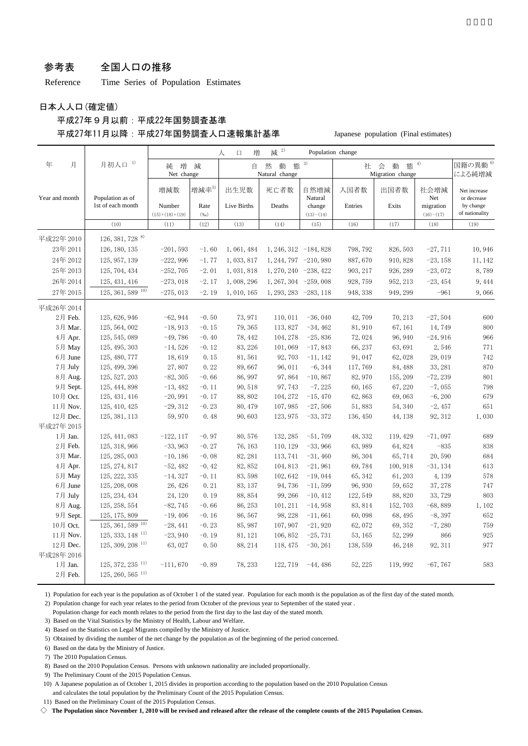#### 参考表 全国人口の推移

Reference Time Series of Population Estimates

日本人人口(確定値)

#### 平成27年9月以前:平成22年国勢調査基準 平成27年11月以降:平成27年国勢調査人口速報集計基準 Japanese population (Final estimates)

|                |                                |                            |                | 増<br>人<br>口 | 2)<br>減                       | Population change     |          |                                 |                          |                               |
|----------------|--------------------------------|----------------------------|----------------|-------------|-------------------------------|-----------------------|----------|---------------------------------|--------------------------|-------------------------------|
| 年<br>月         | 月初人口 <sup>1)</sup>             | 増<br>純<br>Net change       | 減              | 自           | 然<br>動<br>熊<br>Natural change | 3)                    | 社        | 動<br>熊<br>会<br>Migration change | 4)                       | 国籍の異動 <sup>6)</sup><br>による純増減 |
| Year and month | Population as of               | 増減数                        | 増減率5)          | 出生児数        | 死亡者数                          | 自然増減<br>Natural       | 入国者数     | 出国者数                            | 社会増減<br>Net              | Net increase<br>or decrease   |
|                | 1st of each month              | Number<br>$(15)+(18)+(19)$ | Rate<br>$(\%)$ | Live Births | Deaths                        | change<br>$(13)-(14)$ | Entries  | Exits                           | migration<br>$(16)-(17)$ | by change<br>of nationality   |
|                | (10)                           | (11)                       | (12)           | (13)        | (14)                          | (15)                  | (16)     | (17)                            | (18)                     | (19)                          |
| 平成22年 2010     | 126, 381, 728 $^{8}$           |                            |                |             |                               |                       |          |                                 |                          |                               |
| 23年 2011       | 126, 180, 135                  | $-201,593$                 | $-1.60$        | 1,061,484   | $1, 246, 312 -184, 828$       |                       | 798, 792 | 826, 503                        | $-27,711$                | 10,946                        |
| 24年 2012       | 125, 957, 139                  | $-222,996$                 | $-1.77$        | 1, 033, 817 | $1, 244, 797 -210, 980$       |                       | 887,670  | 910, 828                        | $-23, 158$               | 11, 142                       |
| 25年 2013       | 125, 704, 434                  | $-252,705$                 | $-2.01$        | 1,031,818   | 1, 270, 240 -238, 422         |                       | 903, 217 | 926, 289                        | $-23,072$                | 8,789                         |
| 26年 2014       | 125, 431, 416                  | $-273,018$                 | $-2.17$        | 1,008,296   | $1, 267, 304 -259, 008$       |                       | 928, 759 | 952, 213                        | $-23, 454$               | 9, 444                        |
| 27年 2015       | $125, 361, 589$ <sup>10)</sup> | $-275,013$                 | $-2.19$        | 1,010,165   | 1, 293, 283 - 283, 118        |                       | 948, 338 | 949, 299                        | $-961$                   | 9,066                         |
| 平成26年 2014     |                                |                            |                |             |                               |                       |          |                                 |                          |                               |
| 2月 Feb.        | 125, 626, 946                  | $-62,944$                  | $-0.50$        | 73, 971     | 110, 011                      | $-36,040$             | 42,709   | 70, 213                         | $-27,504$                | 600                           |
| 3月 Mar.        | 125, 564, 002                  | $-18,913$                  | $-0.15$        | 79, 365     | 113,827                       | $-34,462$             | 81,910   | 67, 161                         | 14,749                   | 800                           |
| 4月 Apr.        | 125, 545, 089                  | $-49,786$                  | $-0.40$        | 78, 442     | 104, 278                      | $-25,836$             | 72,024   | 96, 940                         | $-24,916$                | 966                           |
| 5月 May         | 125, 495, 303                  | $-14,526$                  | $-0.12$        | 83, 226     | 101,069                       | $-17,843$             | 66, 237  | 63,691                          | 2,546                    | 771                           |
| 6月 June        | 125, 480, 777                  | 18,619                     | 0.15           | 81,561      | 92,703                        | $-11, 142$            | 91,047   | 62,028                          | 29,019                   | 742                           |
| 7月 July        | 125, 499, 396                  | 27,807                     | 0.22           | 89,667      | 96,011                        | $-6, 344$             | 117,769  | 84, 488                         | 33, 281                  | 870                           |
| 8月 Aug.        | 125, 527, 203                  | $-82, 305$                 | $-0.66$        | 86, 997     | 97,864                        | $-10,867$             | 82, 970  | 155, 209                        | $-72, 239$               | 801                           |
| 9月 Sept.       | 125, 444, 898                  | $-13,482$                  | $-0.11$        | 90,518      | 97,743                        | $-7, 225$             | 60, 165  | 67, 220                         | $-7,055$                 | 798                           |
| 10月 Oct.       | 125, 431, 416                  | $-20,991$                  | $-0.17$        | 88,802      | 104, 272                      | $-15,470$             | 62,863   | 69,063                          | $-6, 200$                | 679                           |
| 11月 Nov.       | 125, 410, 425                  | $-29, 312$                 | $-0.23$        | 80, 479     | 107, 985                      | $-27,506$             | 51,883   | 54, 340                         | $-2,457$                 | 651                           |
| 12月 Dec.       | 125, 381, 113                  | 59,970                     | 0.48           | 90,603      | 123, 975                      | $-33,372$             | 136, 450 | 44, 138                         | 92, 312                  | 1,030                         |
| 平成27年 2015     |                                |                            |                |             |                               |                       |          |                                 |                          |                               |
| 1月 Jan.        | 125, 441, 083                  | $-122, 117$                | $-0.97$        | 80,576      | 132, 285                      | $-51,709$             | 48, 332  | 119, 429                        | $-71,097$                | 689                           |
| 2月 Feb.        | 125, 318, 966                  | $-33,963$                  | $-0.27$        | 76, 163     | 110, 129                      | $-33,966$             | 63,989   | 64,824                          | $-835$                   | 838                           |
| 3月 Mar.        | 125, 285, 003                  | $-10, 186$                 | $-0.08$        | 82, 281     | 113, 741                      | $-31,460$             | 86, 304  | 65,714                          | 20,590                   | 684                           |
| 4月 Apr.        | 125, 274, 817                  | $-52,482$                  | $-0.42$        | 82, 852     | 104,813                       | $-21,961$             | 69,784   | 100, 918                        | $-31, 134$               | 613                           |
| 5月 May         | 125, 222, 335                  | $-14,327$                  | $-0.11$        | 83,598      | 102, 642                      | $-19,044$             | 65, 342  | 61, 203                         | 4,139                    | 578                           |
| 6月 June        | 125, 208, 008                  | 26, 426                    | 0.21           | 83, 137     | 94,736                        | $-11,599$             | 96, 930  | 59,652                          | 37, 278                  | 747                           |
| 7月 July        | 125, 234, 434                  | 24, 120                    | 0.19           | 88, 854     | 99, 266                       | $-10, 412$            | 122, 549 | 88,820                          | 33,729                   | 803                           |
| 8月 Aug.        | 125, 258, 554                  | $-82,745$                  | $-0.66$        | 86, 253     | 101, 211                      | $-14,958$             | 83, 814  | 152,703                         | $-68,889$                | 1,102                         |
| 9月 Sept.       | 125, 175, 809                  | $-19,406$                  | $-0.16$        | 86,567      | 98, 228                       | $-11,661$             | 60,098   | 68, 495                         | $-8,397$                 | 652                           |
| 10月 Oct.       | 125, 361, 589 10)              | $-28, 441$                 | $-0.23$        | 85, 987     | 107, 907                      | $-21,920$             | 62,072   | 69, 352                         | $-7,280$                 | 759                           |
| 11月 Nov.       | $125, 333, 148$ <sup>11)</sup> | $-23,940$                  | $-0.19$        | 81, 121     | 106, 852                      | $-25,731$             | 53, 165  | 52, 299                         | 866                      | 925                           |
| 12月 Dec.       | $125, 309, 208$ <sup>11)</sup> | 63,027                     | 0.50           | 88, 214     | 118, 475                      | $-30, 261$            | 138, 559 | 46, 248                         | 92, 311                  | 977                           |
| 平成28年 2016     |                                |                            |                |             |                               |                       |          |                                 |                          |                               |
| 1月 Jan.        | $125, 372, 235$ <sup>11)</sup> | $-111,670$                 | $-0.89$        | 78, 233     | 122, 719                      | $-44,486$             | 52, 225  | 119,992                         | $-67,767$                | 583                           |
| 2月 Feb.        | 125, 260, 565 11)              |                            |                |             |                               |                       |          |                                 |                          |                               |

1) Population for each year is the population as of October 1 of the stated year. Population for each month is the population as of the first day of the stated month.

2) Population change for each year relates to the period from October of the previous year to September of the stated year .

Population change for each month relates to the period from the first day to the last day of the stated month.

3) Based on the Vital Statistics by the Ministry of Health, Labour and Welfare.

4) Based on the Statistics on Legal Migrants compiled by the Ministry of Justice.

5) Obtained by dividing the number of the net change by the population as of the beginning of the period concerned.

6) Based on the data by the Ministry of Justice.

7) The 2010 Population Census.

8) Based on the 2010 Population Census. Persons with unknown nationality are included proportionally.

9) The Preliminary Count of the 2015 Population Census.

10) A Japanese population as of October 1, 2015 divides in proportion according to the population based on the 2010 Population Census

and calculates the total population by the Preliminary Count of the 2015 Population Census.

11) Based on the Preliminary Count of the 2015 Population Census.

 $\diamondsuit$  The Population since November 1, 2010 will be revised and released after the release of the complete counts of the 2015 Population Census.